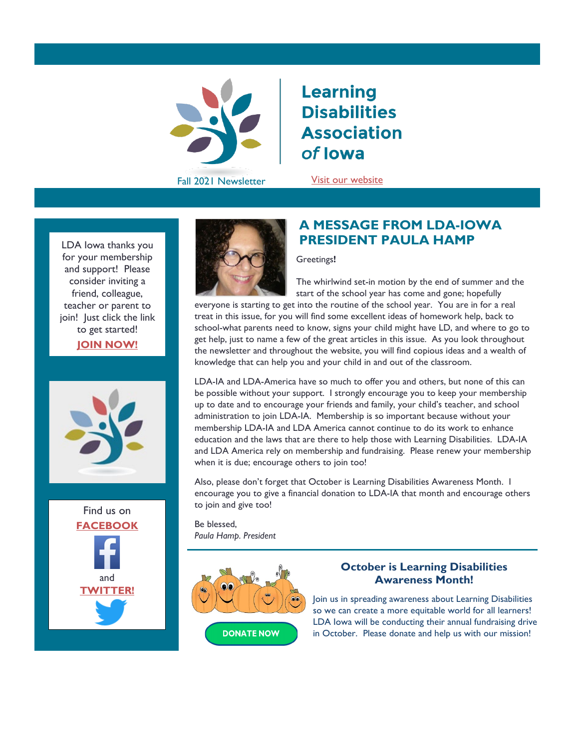

# **Learning Disabilities Association** of lowa

Fall 2021 Newsletter [Visit our website](http://www.ldaiowa.org/)

for your membership and support! Please consider inviting a friend, colleague, teacher or parent to join! Just click the link to get [started!](https://ldaiowa.org/membership/)

**[JOIN NOW!](https://ldaiowa.org/membership/)**







## **A MESSAGE FROM LDA-IOWA**  LDA Iowa thanks you **PRESIDENT PAULA HAMP**

#### Greetings**!**

The whirlwind set-in motion by the end of summer and the start of the school year has come and gone; hopefully

everyone is starting to get into the routine of the school year. You are in for a real treat in this issue, for you will find some excellent ideas of homework help, back to school-what parents need to know, signs your child might have LD, and where to go to get help, just to name a few of the great articles in this issue. As you look throughout the newsletter and throughout the website, you will find copious ideas and a wealth of knowledge that can help you and your child in and out of the classroom.

LDA-IA and LDA-America have so much to offer you and others, but none of this can be possible without your support. I strongly encourage you to keep your membership up to date and to encourage your friends and family, your child's teacher, and school administration to join LDA-IA. Membership is so important because without your membership LDA-IA and LDA America cannot continue to do its work to enhance education and the laws that are there to help those with Learning Disabilities. LDA-IA and LDA America rely on membership and fundraising. Please renew your membership when it is due; encourage others to join too!

Also, please don't forget that October is Learning Disabilities Awareness Month. I encourage you to give a financial donation to LDA-IA that month and encourage others to join and give too!

Be blessed, *Paula Hamp. President*



#### **October is Learning Disabilities Awareness Month!**

Join us in spreading awareness about Learning Disabilities so we can create a more equitable world for all learners! LDA Iowa will be conducting their annual fundraising drive in October. Please donate and help us with our mission!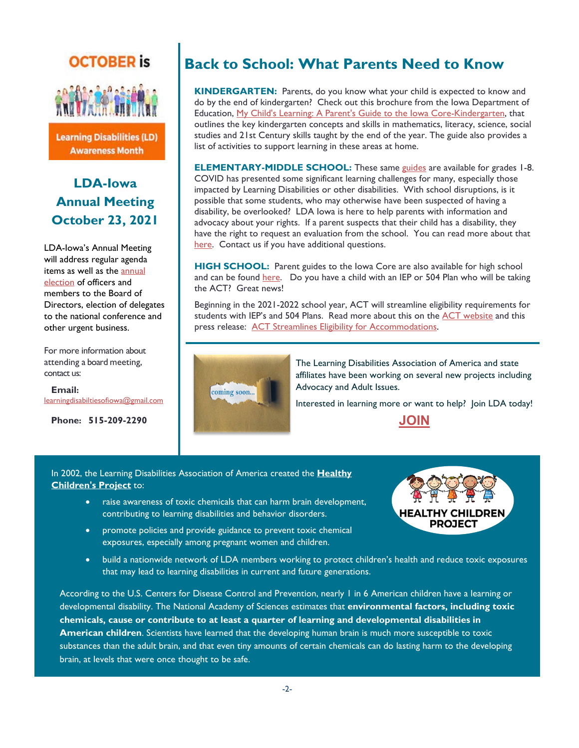# **OCTOBER** is



**Learning Disabilities (LD) Awareness Month** 

## **LDA-Iowa Annual Meeting October 23, 2021**

LDA-Iowa's Annual Meeting will address regular agenda items as well as the [annual](https://ldaiowa.org/about/2022-slate/)  [election](https://ldaiowa.org/about/2022-slate/) of officers and members to the Board of Directors, election of delegates to the national conference and other urgent business.

For more information about attending a board meeting, contact us:

 **Email:**  [learningdisabiltiesofiowa@gmail.com](mailto:learningdisabiltiesofiowa@gmail.com)

**Phone: 515-209-2290**

# **Back to School: What Parents Need to Know**

**KINDERGARTEN:** Parents, do you know what your child is expected to know and do by the end of kindergarten? Check out this brochure from the Iowa Department of Education, [My Child's Learning: A Parent's Guide to the Iowa Core-Kindergarten,](https://iowacore.gov/sites/default/files/kindergarten_parent_guide_1.pdf) that outlines the key kindergarten concepts and skills in mathematics, literacy, science, social studies and 21st Century skills taught by the end of the year. The guide also provides a list of activities to support learning in these areas at home.

**ELEMENTARY-MIDDLE SCHOOL:** These same [guides](https://iowacore.gov/content/iowa-core-parent-guidesgu%C3%ADa-para-padres) are available for grades 1-8. COVID has presented some significant learning challenges for many, especially those impacted by Learning Disabilities or other disabilities. With school disruptions, is it possible that some students, who may otherwise have been suspected of having a disability, be overlooked? LDA Iowa is here to help parents with information and advocacy about your rights. If a parent suspects that their child has a disability, they have the right to request an evaluation from the school. You can read more about that [here.](https://educateiowa.gov/pk-12/special-education/special-education-state-guidance/parent-request-initial-evaluation) Contact us if you have additional questions.

**HIGH SCHOOL:** Parent guides to the Iowa Core are also available for high school and can be found [here.](https://iowacore.gov/content/iowa-core-parent-guidesgu%C3%ADa-para-padres) Do you have a child with an IEP or 504 Plan who will be taking the ACT? Great news!

Beginning in the 2021-2022 school year, ACT will streamline eligibility requirements for students with IEP's and 504 Plans. Read more about this on the [ACT website](https://www.act.org/) and this press release: [ACT Streamlines Eligibility for Accommodations.](https://leadershipblog.act.org/2021/07/ACT%20streamlines%20accommodations.html)



The Learning Disabilities Association of America and state affiliates have been working on several new projects including Advocacy and Adult Issues.

Interested in learning more or want to help? Join LDA today!

**[JOIN](https://ldaiowa.org/membership/)**

In 2002, the Learning Disabilities Association of America created the **[Healthy](https://healthychildrenproject.org/)  [Children's Project](https://healthychildrenproject.org/)** to:

I

- raise awareness of toxic chemicals that can harm brain development, contributing to learning disabilities and behavior disorders.
- promote policies and provide guidance to prevent toxic chemical exposures, especially among pregnant women and children.



• build a nationwide network of LDA members working to protect children's health and reduce toxic exposures that may lead to learning disabilities in current and future generations.

According to the U.S. Centers for Disease Control and Prevention, nearly 1 in 6 American children have a learning or developmental disability. The National Academy of Sciences estimates that **environmental factors, including toxic chemicals, cause or contribute to at least a quarter of learning and developmental disabilities in American children**. Scientists have learned that the developing human brain is much more susceptible to toxic substances than the adult brain, and that even tiny amounts of certain chemicals can do lasting harm to the developing brain, at levels that were once thought to be safe.